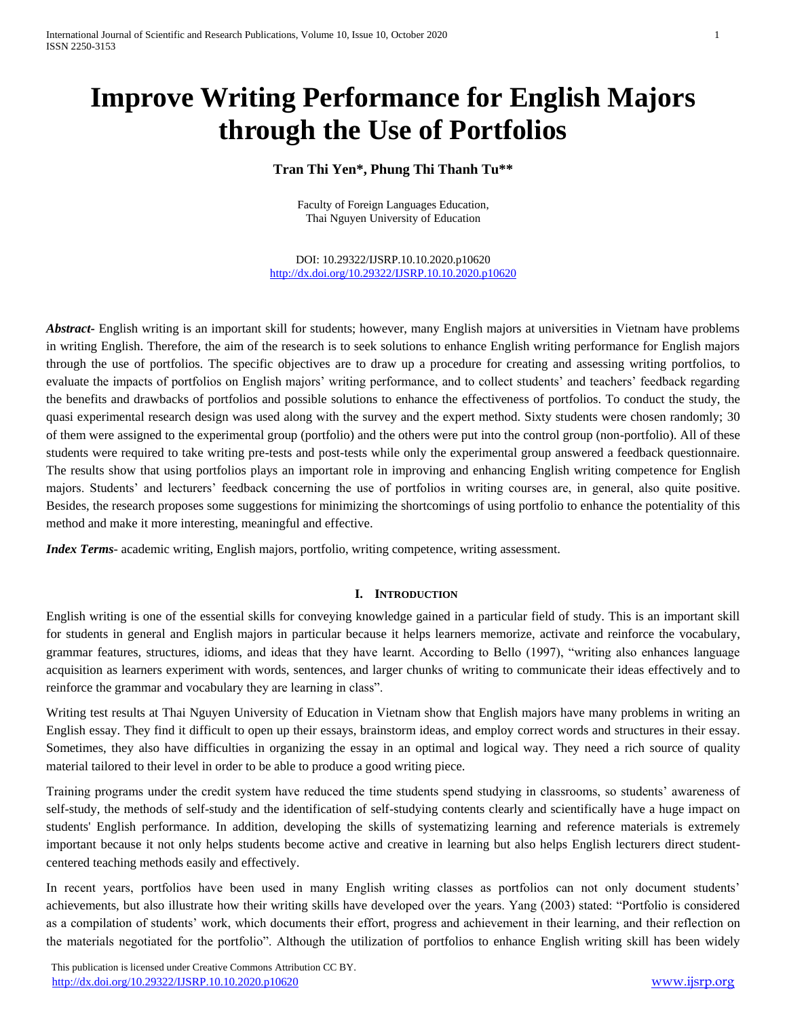# **Improve Writing Performance for English Majors through the Use of Portfolios**

# **Tran Thi Yen\*, Phung Thi Thanh Tu\*\***

Faculty of Foreign Languages Education, Thai Nguyen University of Education

DOI: 10.29322/IJSRP.10.10.2020.p10620 <http://dx.doi.org/10.29322/IJSRP.10.10.2020.p10620>

*Abstract***-** English writing is an important skill for students; however, many English majors at universities in Vietnam have problems in writing English. Therefore, the aim of the research is to seek solutions to enhance English writing performance for English majors through the use of portfolios. The specific objectives are to draw up a procedure for creating and assessing writing portfolios, to evaluate the impacts of portfolios on English majors' writing performance, and to collect students' and teachers' feedback regarding the benefits and drawbacks of portfolios and possible solutions to enhance the effectiveness of portfolios. To conduct the study, the quasi experimental research design was used along with the survey and the expert method. Sixty students were chosen randomly; 30 of them were assigned to the experimental group (portfolio) and the others were put into the control group (non-portfolio). All of these students were required to take writing pre-tests and post-tests while only the experimental group answered a feedback questionnaire. The results show that using portfolios plays an important role in improving and enhancing English writing competence for English majors. Students' and lecturers' feedback concerning the use of portfolios in writing courses are, in general, also quite positive. Besides, the research proposes some suggestions for minimizing the shortcomings of using portfolio to enhance the potentiality of this method and make it more interesting, meaningful and effective.

*Index Terms*- academic writing, English majors, portfolio, writing competence, writing assessment.

### **I. INTRODUCTION**

English writing is one of the essential skills for conveying knowledge gained in a particular field of study. This is an important skill for students in general and English majors in particular because it helps learners memorize, activate and reinforce the vocabulary, grammar features, structures, idioms, and ideas that they have learnt. According to Bello (1997), "writing also enhances language acquisition as learners experiment with words, sentences, and larger chunks of writing to communicate their ideas effectively and to reinforce the grammar and vocabulary they are learning in class".

Writing test results at Thai Nguyen University of Education in Vietnam show that English majors have many problems in writing an English essay. They find it difficult to open up their essays, brainstorm ideas, and employ correct words and structures in their essay. Sometimes, they also have difficulties in organizing the essay in an optimal and logical way. They need a rich source of quality material tailored to their level in order to be able to produce a good writing piece.

Training programs under the credit system have reduced the time students spend studying in classrooms, so students' awareness of self-study, the methods of self-study and the identification of self-studying contents clearly and scientifically have a huge impact on students' English performance. In addition, developing the skills of systematizing learning and reference materials is extremely important because it not only helps students become active and creative in learning but also helps English lecturers direct studentcentered teaching methods easily and effectively.

In recent years, portfolios have been used in many English writing classes as portfolios can not only document students' achievements, but also illustrate how their writing skills have developed over the years. Yang (2003) stated: "Portfolio is considered as a compilation of students' work, which documents their effort, progress and achievement in their learning, and their reflection on the materials negotiated for the portfolio". Although the utilization of portfolios to enhance English writing skill has been widely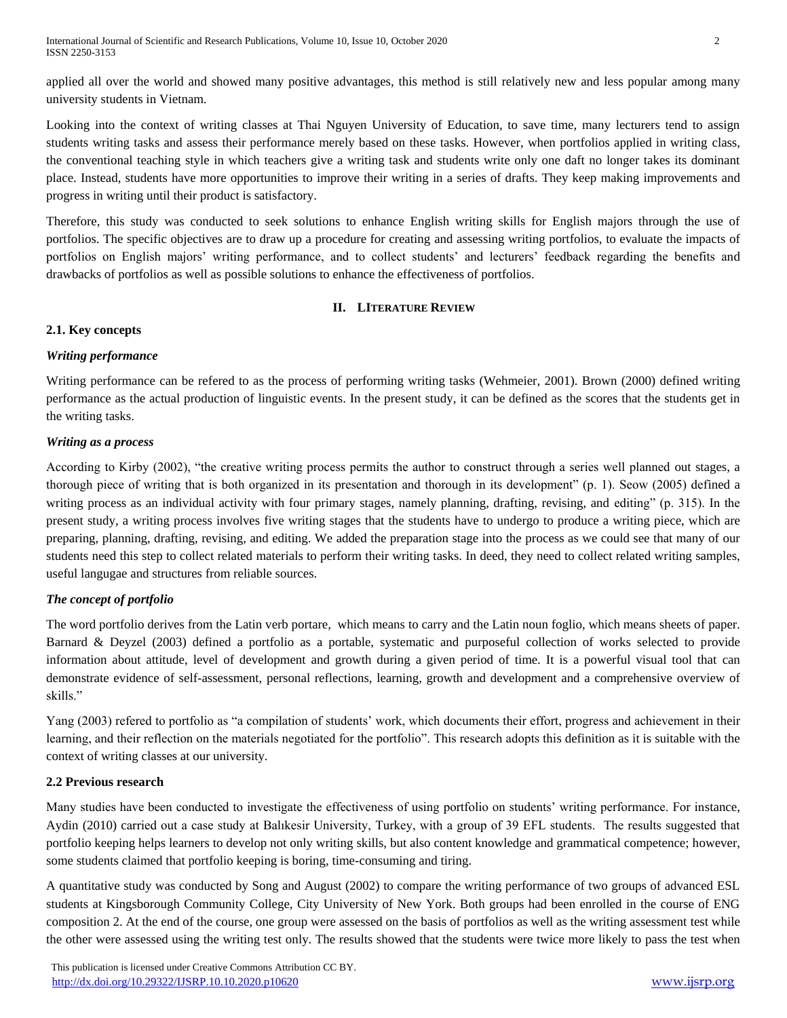applied all over the world and showed many positive advantages, this method is still relatively new and less popular among many university students in Vietnam.

Looking into the context of writing classes at Thai Nguyen University of Education, to save time, many lecturers tend to assign students writing tasks and assess their performance merely based on these tasks. However, when portfolios applied in writing class, the conventional teaching style in which teachers give a writing task and students write only one daft no longer takes its dominant place. Instead, students have more opportunities to improve their writing in a series of drafts. They keep making improvements and progress in writing until their product is satisfactory.

Therefore, this study was conducted to seek solutions to enhance English writing skills for English majors through the use of portfolios. The specific objectives are to draw up a procedure for creating and assessing writing portfolios, to evaluate the impacts of portfolios on English majors' writing performance, and to collect students' and lecturers' feedback regarding the benefits and drawbacks of portfolios as well as possible solutions to enhance the effectiveness of portfolios.

# **II. LITERATURE REVIEW**

### **2.1. Key concepts**

# *Writing performance*

Writing performance can be refered to as the process of performing writing tasks (Wehmeier, 2001). Brown (2000) defined writing performance as the actual production of linguistic events. In the present study, it can be defined as the scores that the students get in the writing tasks.

# *Writing as a process*

According to Kirby (2002), "the creative writing process permits the author to construct through a series well planned out stages, a thorough piece of writing that is both organized in its presentation and thorough in its development" (p. 1). Seow (2005) defined a writing process as an individual activity with four primary stages, namely planning, drafting, revising, and editing" (p. 315). In the present study, a writing process involves five writing stages that the students have to undergo to produce a writing piece, which are preparing, planning, drafting, revising, and editing. We added the preparation stage into the process as we could see that many of our students need this step to collect related materials to perform their writing tasks. In deed, they need to collect related writing samples, useful langugae and structures from reliable sources.

# *The concept of portfolio*

The word portfolio derives from the Latin verb portare, which means to carry and the Latin noun foglio, which means sheets of paper. Barnard & Deyzel (2003) defined a portfolio as a portable, systematic and purposeful collection of works selected to provide information about attitude, level of development and growth during a given period of time. It is a powerful visual tool that can demonstrate evidence of self-assessment, personal reflections, learning, growth and development and a comprehensive overview of skills."

Yang (2003) refered to portfolio as "a compilation of students' work, which documents their effort, progress and achievement in their learning, and their reflection on the materials negotiated for the portfolio". This research adopts this definition as it is suitable with the context of writing classes at our university.

### **2.2 Previous research**

Many studies have been conducted to investigate the effectiveness of using portfolio on students' writing performance. For instance, Aydin (2010) carried out a case study at Balıkesir University, Turkey, with a group of 39 EFL students. The results suggested that portfolio keeping helps learners to develop not only writing skills, but also content knowledge and grammatical competence; however, some students claimed that portfolio keeping is boring, time-consuming and tiring.

A quantitative study was conducted by Song and August (2002) to compare the writing performance of two groups of advanced ESL students at Kingsborough Community College, City University of New York. Both groups had been enrolled in the course of ENG composition 2. At the end of the course, one group were assessed on the basis of portfolios as well as the writing assessment test while the other were assessed using the writing test only. The results showed that the students were twice more likely to pass the test when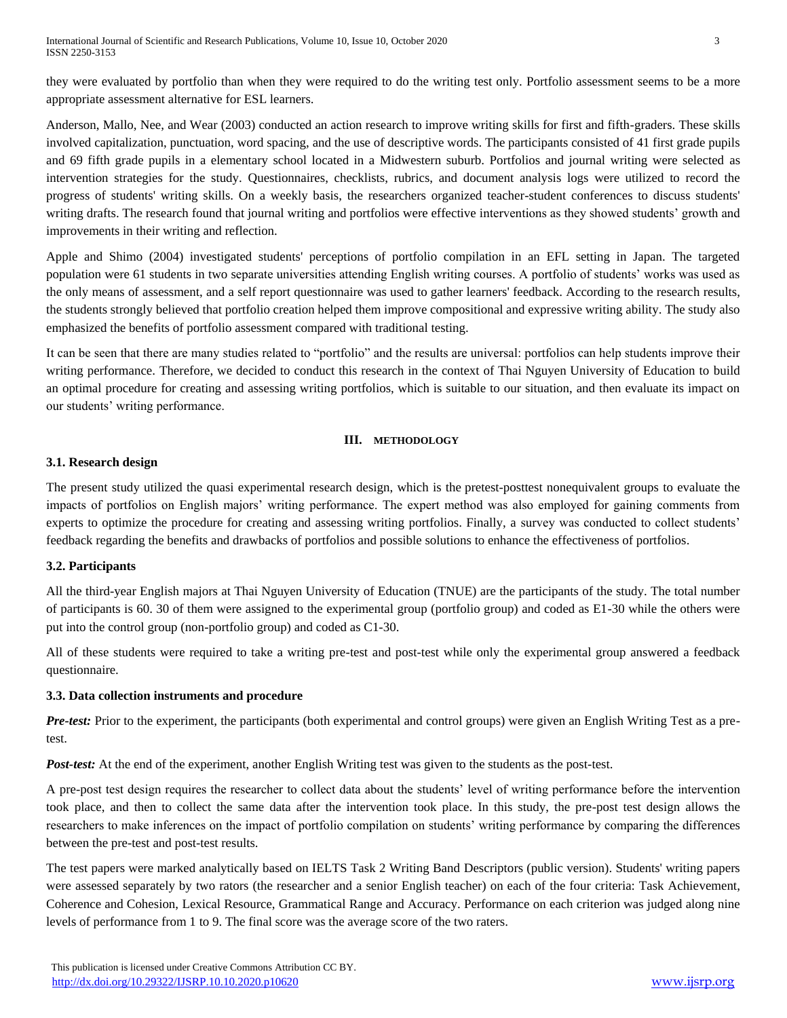they were evaluated by portfolio than when they were required to do the writing test only. Portfolio assessment seems to be a more appropriate assessment alternative for ESL learners.

Anderson, Mallo, Nee, and Wear (2003) conducted an action research to improve writing skills for first and fifth-graders. These skills involved capitalization, punctuation, word spacing, and the use of descriptive words. The participants consisted of 41 first grade pupils and 69 fifth grade pupils in a elementary school located in a Midwestern suburb. Portfolios and journal writing were selected as intervention strategies for the study. Questionnaires, checklists, rubrics, and document analysis logs were utilized to record the progress of students' writing skills. On a weekly basis, the researchers organized teacher-student conferences to discuss students' writing drafts. The research found that journal writing and portfolios were effective interventions as they showed students' growth and improvements in their writing and reflection.

Apple and Shimo (2004) investigated students' perceptions of portfolio compilation in an EFL setting in Japan. The targeted population were 61 students in two separate universities attending English writing courses. A portfolio of students' works was used as the only means of assessment, and a self report questionnaire was used to gather learners' feedback. According to the research results, the students strongly believed that portfolio creation helped them improve compositional and expressive writing ability. The study also emphasized the benefits of portfolio assessment compared with traditional testing.

It can be seen that there are many studies related to "portfolio" and the results are universal: portfolios can help students improve their writing performance. Therefore, we decided to conduct this research in the context of Thai Nguyen University of Education to build an optimal procedure for creating and assessing writing portfolios, which is suitable to our situation, and then evaluate its impact on our students' writing performance.

# **III. METHODOLOGY**

# **3.1. Research design**

The present study utilized the quasi experimental research design, which is the pretest-posttest nonequivalent groups to evaluate the impacts of portfolios on English majors' writing performance. The expert method was also employed for gaining comments from experts to optimize the procedure for creating and assessing writing portfolios. Finally, a survey was conducted to collect students' feedback regarding the benefits and drawbacks of portfolios and possible solutions to enhance the effectiveness of portfolios.

### **3.2. Participants**

All the third-year English majors at Thai Nguyen University of Education (TNUE) are the participants of the study. The total number of participants is 60. 30 of them were assigned to the experimental group (portfolio group) and coded as E1-30 while the others were put into the control group (non-portfolio group) and coded as C1-30.

All of these students were required to take a writing pre-test and post-test while only the experimental group answered a feedback questionnaire.

### **3.3. Data collection instruments and procedure**

*Pre-test:* Prior to the experiment, the participants (both experimental and control groups) were given an English Writing Test as a pretest.

*Post-test:* At the end of the experiment, another English Writing test was given to the students as the post-test.

A pre-post test design requires the researcher to collect data about the students' level of writing performance before the intervention took place, and then to collect the same data after the intervention took place. In this study, the pre-post test design allows the researchers to make inferences on the impact of portfolio compilation on students' writing performance by comparing the differences between the pre-test and post-test results.

The test papers were marked analytically based on IELTS Task 2 Writing Band Descriptors (public version). Students' writing papers were assessed separately by two rators (the researcher and a senior English teacher) on each of the four criteria: Task Achievement, Coherence and Cohesion, Lexical Resource, Grammatical Range and Accuracy. Performance on each criterion was judged along nine levels of performance from 1 to 9. The final score was the average score of the two raters.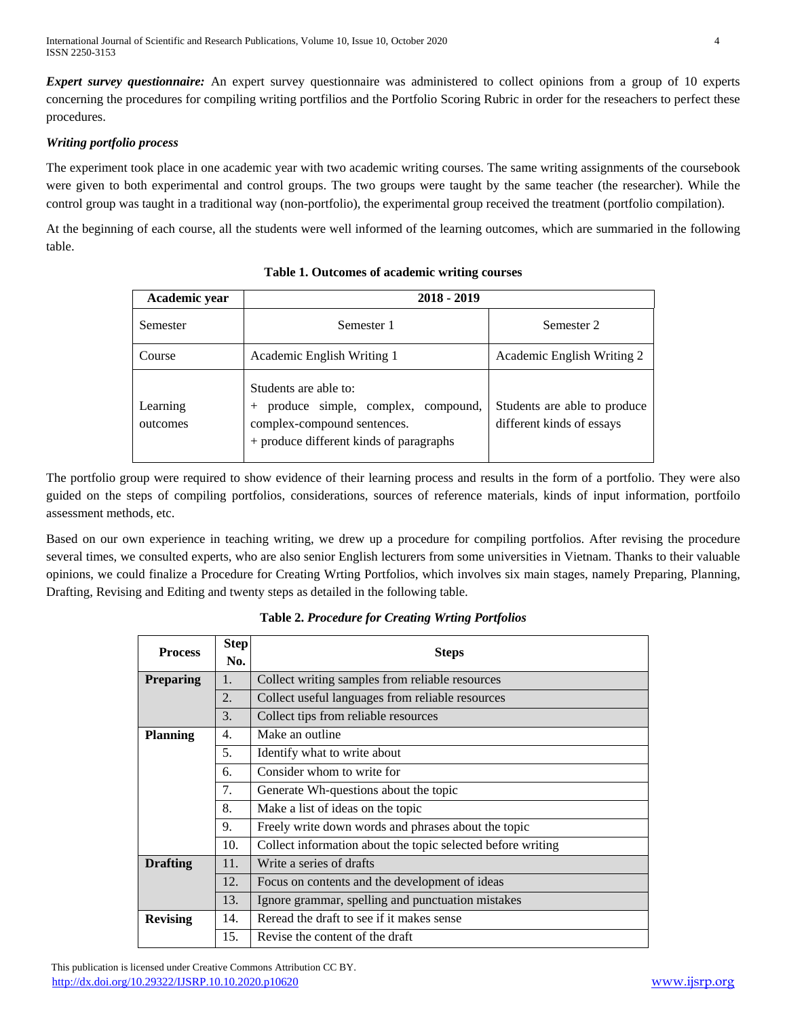*Expert survey questionnaire:* An expert survey questionnaire was administered to collect opinions from a group of 10 experts concerning the procedures for compiling writing portfilios and the Portfolio Scoring Rubric in order for the reseachers to perfect these procedures.

## *Writing portfolio process*

The experiment took place in one academic year with two academic writing courses. The same writing assignments of the coursebook were given to both experimental and control groups. The two groups were taught by the same teacher (the researcher). While the control group was taught in a traditional way (non-portfolio), the experimental group received the treatment (portfolio compilation).

At the beginning of each course, all the students were well informed of the learning outcomes, which are summaried in the following table.

| Academic year        | 2018 - 2019                                                                                                                           |                                                           |  |
|----------------------|---------------------------------------------------------------------------------------------------------------------------------------|-----------------------------------------------------------|--|
| Semester             | Semester 1                                                                                                                            | Semester 2                                                |  |
| Course               | Academic English Writing 1                                                                                                            | Academic English Writing 2                                |  |
| Learning<br>outcomes | Students are able to:<br>produce simple, complex, compound,<br>complex-compound sentences.<br>+ produce different kinds of paragraphs | Students are able to produce<br>different kinds of essays |  |

The portfolio group were required to show evidence of their learning process and results in the form of a portfolio. They were also guided on the steps of compiling portfolios, considerations, sources of reference materials, kinds of input information, portfoilo assessment methods, etc.

Based on our own experience in teaching writing, we drew up a procedure for compiling portfolios. After revising the procedure several times, we consulted experts, who are also senior English lecturers from some universities in Vietnam. Thanks to their valuable opinions, we could finalize a Procedure for Creating Wrting Portfolios, which involves six main stages, namely Preparing, Planning, Drafting, Revising and Editing and twenty steps as detailed in the following table.

| <b>Process</b>   | <b>Step</b><br>No.    | <b>Steps</b>                                                |  |  |
|------------------|-----------------------|-------------------------------------------------------------|--|--|
| <b>Preparing</b> | 1.                    | Collect writing samples from reliable resources             |  |  |
|                  | 2.                    | Collect useful languages from reliable resources            |  |  |
|                  | 3.                    | Collect tips from reliable resources                        |  |  |
| <b>Planning</b>  | Make an outline<br>4. |                                                             |  |  |
|                  | 5.                    | Identify what to write about                                |  |  |
|                  | 6.                    | Consider whom to write for                                  |  |  |
|                  | 7.                    | Generate Wh-questions about the topic                       |  |  |
|                  | 8.                    | Make a list of ideas on the topic                           |  |  |
|                  | 9.                    | Freely write down words and phrases about the topic         |  |  |
|                  | 10.                   | Collect information about the topic selected before writing |  |  |
| <b>Drafting</b>  | 11.                   | Write a series of drafts                                    |  |  |
|                  | 12.                   | Focus on contents and the development of ideas              |  |  |
|                  | 13.                   | Ignore grammar, spelling and punctuation mistakes           |  |  |
| <b>Revising</b>  | 14.                   | Reread the draft to see if it makes sense                   |  |  |
|                  | 15.                   | Revise the content of the draft                             |  |  |

**Table 2.** *Procedure for Creating Wrting Portfolios*

 This publication is licensed under Creative Commons Attribution CC BY. <http://dx.doi.org/10.29322/IJSRP.10.10.2020.p10620> [www.ijsrp.org](http://ijsrp.org/)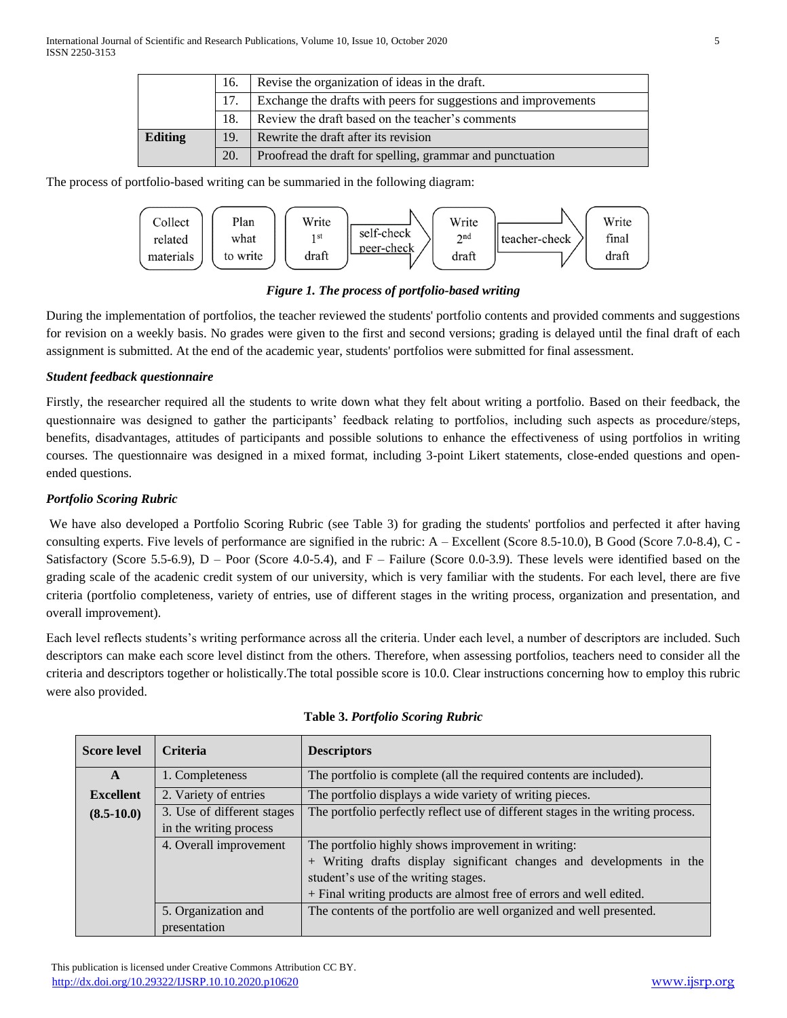|                                                                 | 16. | Revise the organization of ideas in the draft.            |  |  |
|-----------------------------------------------------------------|-----|-----------------------------------------------------------|--|--|
| Exchange the drafts with peers for suggestions and improvements |     |                                                           |  |  |
|                                                                 |     | Review the draft based on the teacher's comments          |  |  |
| <b>Editing</b>                                                  | 19. | Rewrite the draft after its revision                      |  |  |
|                                                                 | 20. | Proofread the draft for spelling, grammar and punctuation |  |  |

The process of portfolio-based writing can be summaried in the following diagram:



*Figure 1. The process of portfolio-based writing*

During the implementation of portfolios, the teacher reviewed the students' portfolio contents and provided comments and suggestions for revision on a weekly basis. No grades were given to the first and second versions; grading is delayed until the final draft of each assignment is submitted. At the end of the academic year, students' portfolios were submitted for final assessment.

# *Student feedback questionnaire*

Firstly, the researcher required all the students to write down what they felt about writing a portfolio. Based on their feedback, the questionnaire was designed to gather the participants' feedback relating to portfolios, including such aspects as procedure/steps, benefits, disadvantages, attitudes of participants and possible solutions to enhance the effectiveness of using portfolios in writing courses. The questionnaire was designed in a mixed format, including 3-point Likert statements, close-ended questions and openended questions.

# *Portfolio Scoring Rubric*

We have also developed a Portfolio Scoring Rubric (see Table 3) for grading the students' portfolios and perfected it after having consulting experts. Five levels of performance are signified in the rubric: A – Excellent (Score 8.5-10.0), B Good (Score 7.0-8.4), C - Satisfactory (Score 5.5-6.9), D – Poor (Score 4.0-5.4), and F – Failure (Score 0.0-3.9). These levels were identified based on the grading scale of the acadenic credit system of our university, which is very familiar with the students. For each level, there are five criteria (portfolio completeness, variety of entries, use of different stages in the writing process, organization and presentation, and overall improvement).

Each level reflects students's writing performance across all the criteria. Under each level, a number of descriptors are included. Such descriptors can make each score level distinct from the others. Therefore, when assessing portfolios, teachers need to consider all the criteria and descriptors together or holistically.The total possible score is 10.0. Clear instructions concerning how to employ this rubric were also provided.

| <b>Score level</b>                                                           | <b>Criteria</b>                                                                             | <b>Descriptors</b>                                                              |  |  |
|------------------------------------------------------------------------------|---------------------------------------------------------------------------------------------|---------------------------------------------------------------------------------|--|--|
| $\mathbf{A}$                                                                 | 1. Completeness                                                                             | The portfolio is complete (all the required contents are included).             |  |  |
| <b>Excellent</b>                                                             | 2. Variety of entries                                                                       | The portfolio displays a wide variety of writing pieces.                        |  |  |
| $(8.5-10.0)$                                                                 | 3. Use of different stages                                                                  | The portfolio perfectly reflect use of different stages in the writing process. |  |  |
|                                                                              | in the writing process                                                                      |                                                                                 |  |  |
| The portfolio highly shows improvement in writing:<br>4. Overall improvement |                                                                                             |                                                                                 |  |  |
|                                                                              |                                                                                             | + Writing drafts display significant changes and developments in the            |  |  |
|                                                                              |                                                                                             | student's use of the writing stages.                                            |  |  |
|                                                                              | + Final writing products are almost free of errors and well edited.                         |                                                                                 |  |  |
|                                                                              | The contents of the portfolio are well organized and well presented.<br>5. Organization and |                                                                                 |  |  |
|                                                                              | presentation                                                                                |                                                                                 |  |  |

### **Table 3.** *Portfolio Scoring Rubric*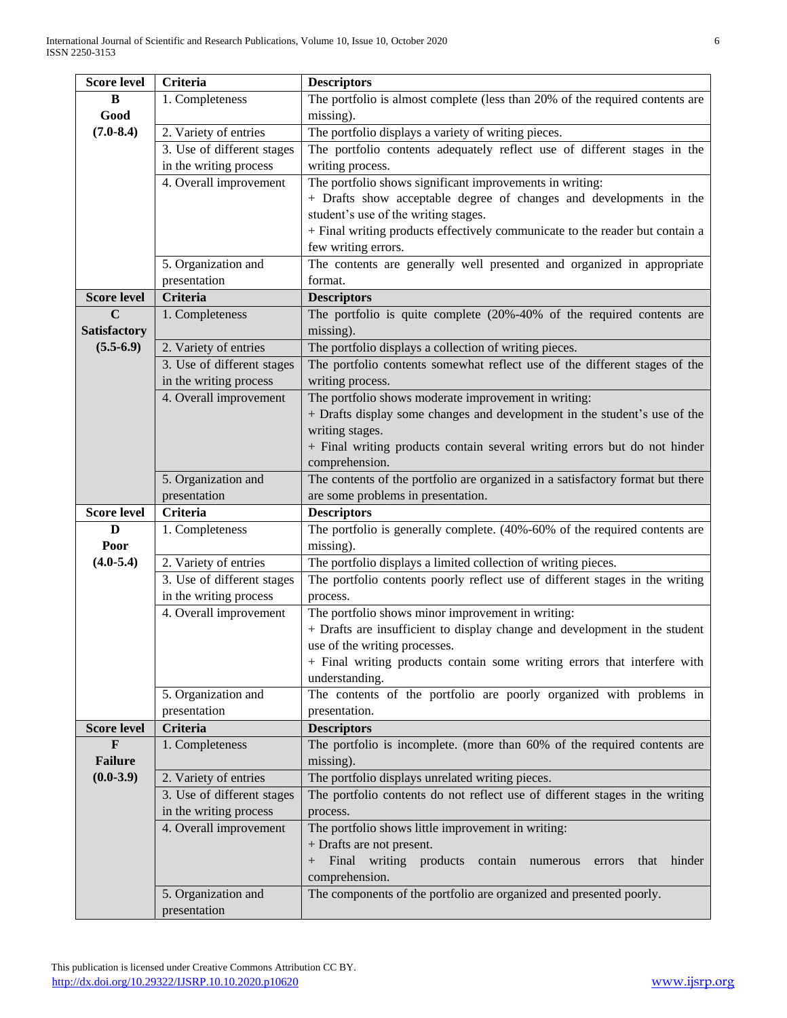| <b>Score level</b>             | <b>Criteria</b>                                                                                 | <b>Descriptors</b>                                                                              |  |  |
|--------------------------------|-------------------------------------------------------------------------------------------------|-------------------------------------------------------------------------------------------------|--|--|
| B                              | The portfolio is almost complete (less than 20% of the required contents are<br>1. Completeness |                                                                                                 |  |  |
| Good                           |                                                                                                 | missing).                                                                                       |  |  |
| $(7.0 - 8.4)$                  | 2. Variety of entries                                                                           | The portfolio displays a variety of writing pieces.                                             |  |  |
|                                | 3. Use of different stages                                                                      | The portfolio contents adequately reflect use of different stages in the                        |  |  |
|                                | in the writing process                                                                          | writing process.                                                                                |  |  |
|                                | 4. Overall improvement                                                                          | The portfolio shows significant improvements in writing:                                        |  |  |
|                                |                                                                                                 | + Drafts show acceptable degree of changes and developments in the                              |  |  |
|                                |                                                                                                 | student's use of the writing stages.                                                            |  |  |
|                                |                                                                                                 | + Final writing products effectively communicate to the reader but contain a                    |  |  |
|                                |                                                                                                 | few writing errors.                                                                             |  |  |
|                                | 5. Organization and                                                                             | The contents are generally well presented and organized in appropriate                          |  |  |
|                                | presentation                                                                                    | format.                                                                                         |  |  |
| <b>Score level</b>             | <b>Criteria</b>                                                                                 | <b>Descriptors</b>                                                                              |  |  |
| C                              | 1. Completeness                                                                                 | The portfolio is quite complete $(20\% -40\%)$ of the required contents are                     |  |  |
| <b>Satisfactory</b>            |                                                                                                 | missing).                                                                                       |  |  |
| $(5.5-6.9)$                    | 2. Variety of entries                                                                           | The portfolio displays a collection of writing pieces.                                          |  |  |
|                                | 3. Use of different stages                                                                      | The portfolio contents somewhat reflect use of the different stages of the                      |  |  |
|                                | in the writing process                                                                          | writing process.                                                                                |  |  |
|                                | 4. Overall improvement                                                                          | The portfolio shows moderate improvement in writing:                                            |  |  |
|                                |                                                                                                 | + Drafts display some changes and development in the student's use of the                       |  |  |
|                                |                                                                                                 | writing stages.                                                                                 |  |  |
|                                |                                                                                                 | + Final writing products contain several writing errors but do not hinder                       |  |  |
|                                |                                                                                                 | comprehension.                                                                                  |  |  |
|                                | 5. Organization and                                                                             | The contents of the portfolio are organized in a satisfactory format but there                  |  |  |
|                                | presentation                                                                                    | are some problems in presentation.                                                              |  |  |
| <b>Score level</b>             | <b>Criteria</b>                                                                                 | <b>Descriptors</b>                                                                              |  |  |
| D                              | 1. Completeness                                                                                 | The portfolio is generally complete. (40%-60% of the required contents are                      |  |  |
| Poor                           |                                                                                                 | missing).                                                                                       |  |  |
| $(4.0 - 5.4)$                  | 2. Variety of entries                                                                           | The portfolio displays a limited collection of writing pieces.                                  |  |  |
|                                | 3. Use of different stages                                                                      | The portfolio contents poorly reflect use of different stages in the writing                    |  |  |
|                                | in the writing process                                                                          | process.                                                                                        |  |  |
|                                | 4. Overall improvement                                                                          | The portfolio shows minor improvement in writing:                                               |  |  |
|                                |                                                                                                 | + Drafts are insufficient to display change and development in the student                      |  |  |
|                                |                                                                                                 | use of the writing processes.                                                                   |  |  |
|                                |                                                                                                 | + Final writing products contain some writing errors that interfere with                        |  |  |
|                                |                                                                                                 | understanding.                                                                                  |  |  |
|                                | 5. Organization and                                                                             | The contents of the portfolio are poorly organized with problems in                             |  |  |
|                                | presentation                                                                                    | presentation.                                                                                   |  |  |
| <b>Score level</b>             | <b>Criteria</b>                                                                                 | <b>Descriptors</b>                                                                              |  |  |
| $\mathbf{F}$<br><b>Failure</b> | 1. Completeness                                                                                 | The portfolio is incomplete. (more than 60% of the required contents are                        |  |  |
| $(0.0-3.9)$                    |                                                                                                 | missing).                                                                                       |  |  |
|                                | 2. Variety of entries                                                                           | The portfolio displays unrelated writing pieces.                                                |  |  |
|                                | 3. Use of different stages                                                                      | The portfolio contents do not reflect use of different stages in the writing                    |  |  |
|                                | in the writing process                                                                          | process.                                                                                        |  |  |
|                                | 4. Overall improvement                                                                          | The portfolio shows little improvement in writing:                                              |  |  |
|                                |                                                                                                 | + Drafts are not present.<br>+ Final writing products contain numerous errors<br>hinder<br>that |  |  |
|                                |                                                                                                 | comprehension.                                                                                  |  |  |
|                                | 5. Organization and                                                                             | The components of the portfolio are organized and presented poorly.                             |  |  |
|                                | presentation                                                                                    |                                                                                                 |  |  |
|                                |                                                                                                 |                                                                                                 |  |  |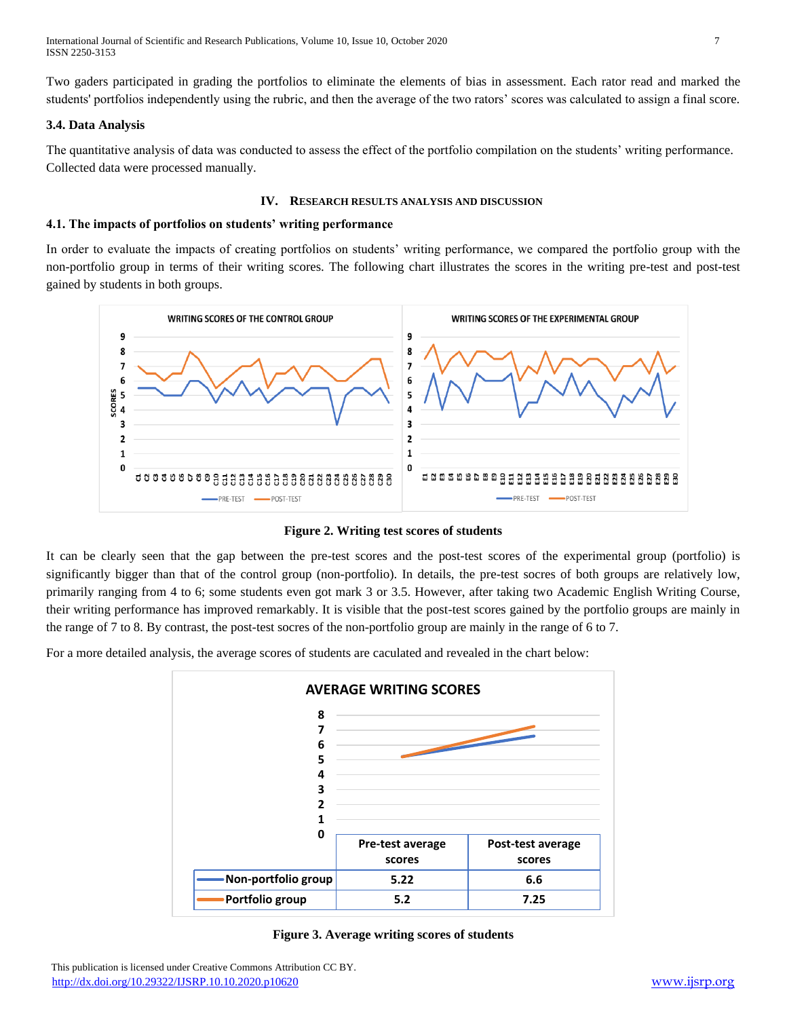International Journal of Scientific and Research Publications, Volume 10, Issue 10, October 2020 7 ISSN 2250-3153

Two gaders participated in grading the portfolios to eliminate the elements of bias in assessment. Each rator read and marked the students' portfolios independently using the rubric, and then the average of the two rators' scores was calculated to assign a final score.

#### **3.4. Data Analysis**

The quantitative analysis of data was conducted to assess the effect of the portfolio compilation on the students' writing performance. Collected data were processed manually.

#### **IV. RESEARCH RESULTS ANALYSIS AND DISCUSSION**

#### **4.1. The impacts of portfolios on students' writing performance**

In order to evaluate the impacts of creating portfolios on students' writing performance, we compared the portfolio group with the non-portfolio group in terms of their writing scores. The following chart illustrates the scores in the writing pre-test and post-test gained by students in both groups.



**Figure 2. Writing test scores of students**

It can be clearly seen that the gap between the pre-test scores and the post-test scores of the experimental group (portfolio) is significantly bigger than that of the control group (non-portfolio). In details, the pre-test socres of both groups are relatively low, primarily ranging from 4 to 6; some students even got mark 3 or 3.5. However, after taking two Academic English Writing Course, their writing performance has improved remarkably. It is visible that the post-test scores gained by the portfolio groups are mainly in the range of 7 to 8. By contrast, the post-test socres of the non-portfolio group are mainly in the range of 6 to 7.

For a more detailed analysis, the average scores of students are caculated and revealed in the chart below:



**Figure 3. Average writing scores of students**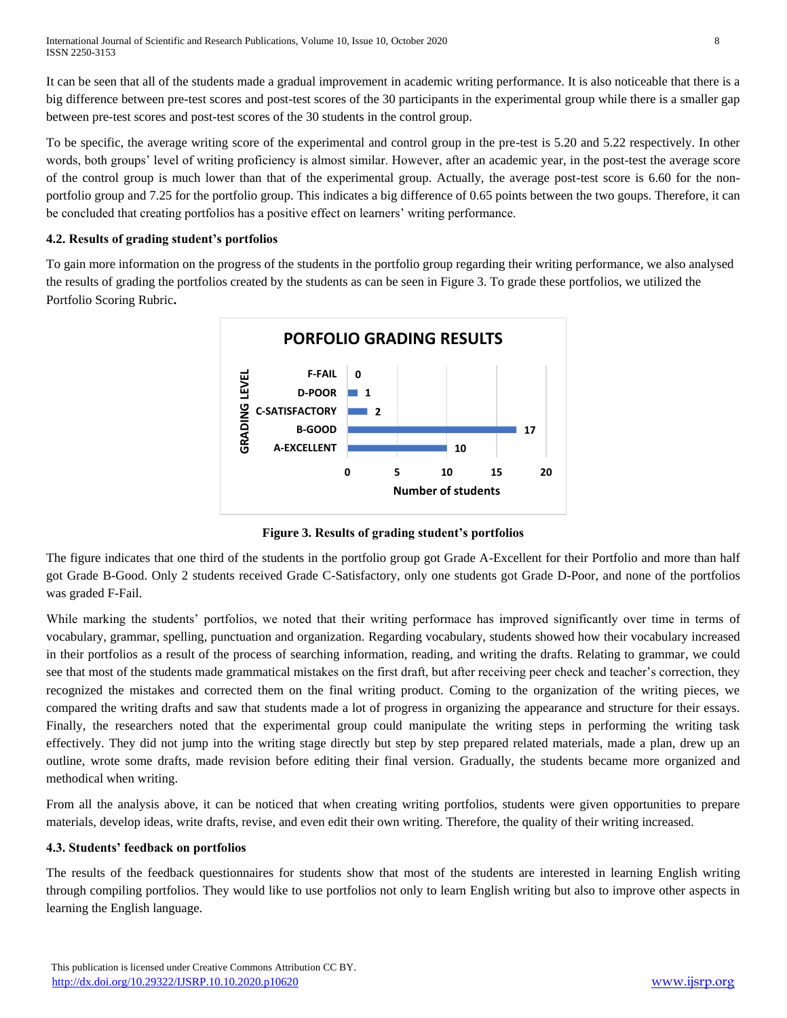It can be seen that all of the students made a gradual improvement in academic writing performance. It is also noticeable that there is a big difference between pre-test scores and post-test scores of the 30 participants in the experimental group while there is a smaller gap between pre-test scores and post-test scores of the 30 students in the control group.

To be specific, the average writing score of the experimental and control group in the pre-test is 5.20 and 5.22 respectively. In other words, both groups' level of writing proficiency is almost similar. However, after an academic year, in the post-test the average score of the control group is much lower than that of the experimental group. Actually, the average post-test score is 6.60 for the nonportfolio group and 7.25 for the portfolio group. This indicates a big difference of 0.65 points between the two goups. Therefore, it can be concluded that creating portfolios has a positive effect on learners' writing performance.

# **4.2. Results of grading student's portfolios**

To gain more information on the progress of the students in the portfolio group regarding their writing performance, we also analysed the results of grading the portfolios created by the students as can be seen in Figure 3. To grade these portfolios, we utilized the Portfolio Scoring Rubric**.**



**Figure 3. Results of grading student's portfolios**

The figure indicates that one third of the students in the portfolio group got Grade A-Excellent for their Portfolio and more than half got Grade B-Good. Only 2 students received Grade C-Satisfactory, only one students got Grade D-Poor, and none of the portfolios was graded F-Fail.

While marking the students' portfolios, we noted that their writing performace has improved significantly over time in terms of vocabulary, grammar, spelling, punctuation and organization. Regarding vocabulary, students showed how their vocabulary increased in their portfolios as a result of the process of searching information, reading, and writing the drafts. Relating to grammar, we could see that most of the students made grammatical mistakes on the first draft, but after receiving peer check and teacher's correction, they recognized the mistakes and corrected them on the final writing product. Coming to the organization of the writing pieces, we compared the writing drafts and saw that students made a lot of progress in organizing the appearance and structure for their essays. Finally, the researchers noted that the experimental group could manipulate the writing steps in performing the writing task effectively. They did not jump into the writing stage directly but step by step prepared related materials, made a plan, drew up an outline, wrote some drafts, made revision before editing their final version. Gradually, the students became more organized and methodical when writing.

From all the analysis above, it can be noticed that when creating writing portfolios, students were given opportunities to prepare materials, develop ideas, write drafts, revise, and even edit their own writing. Therefore, the quality of their writing increased.

# **4.3. Students' feedback on portfolios**

The results of the feedback questionnaires for students show that most of the students are interested in learning English writing through compiling portfolios. They would like to use portfolios not only to learn English writing but also to improve other aspects in learning the English language.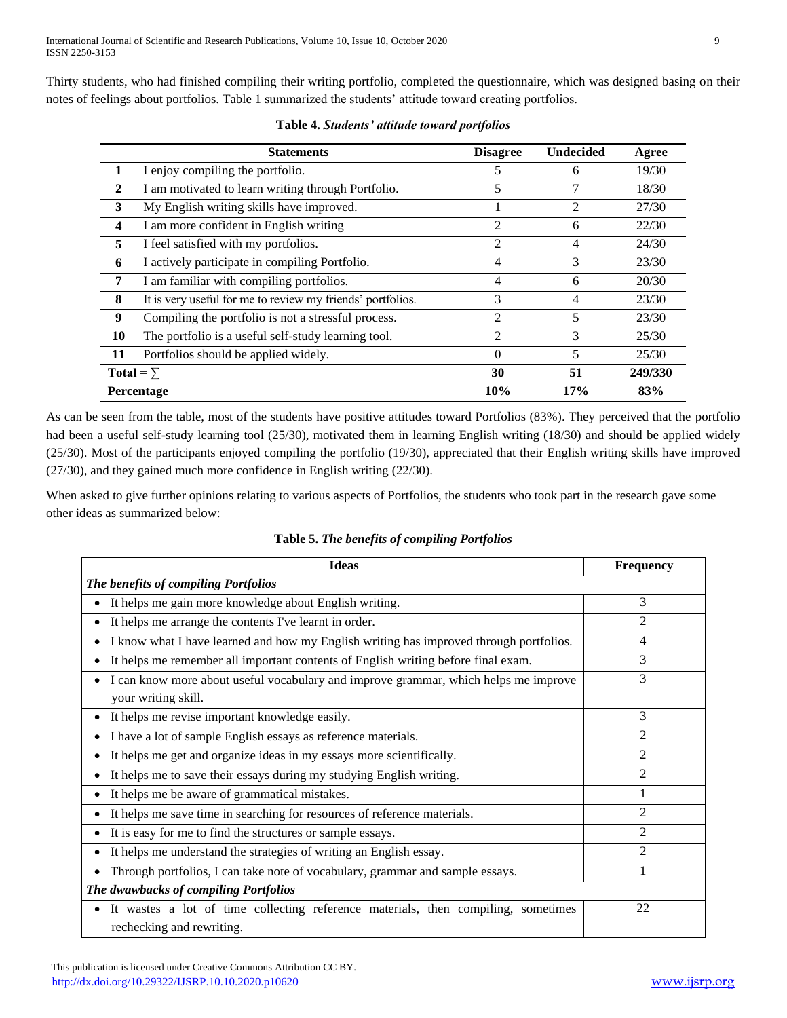Thirty students, who had finished compiling their writing portfolio, completed the questionnaire, which was designed basing on their notes of feelings about portfolios. Table 1 summarized the students' attitude toward creating portfolios.

|                  | <b>Statements</b>                                          | <b>Disagree</b> | <b>Undecided</b> | Agree   |
|------------------|------------------------------------------------------------|-----------------|------------------|---------|
| 1                | I enjoy compiling the portfolio.                           | 5               | 6                | 19/30   |
| $\mathbf{2}$     | I am motivated to learn writing through Portfolio.         | 5               |                  | 18/30   |
| 3                | My English writing skills have improved.                   |                 | $\overline{2}$   | 27/30   |
| 4                | I am more confident in English writing                     | 2               | 6                | 22/30   |
| 5                | I feel satisfied with my portfolios.                       | 2               | 4                | 24/30   |
| 6                | I actively participate in compiling Portfolio.             | 4               | 3                | 23/30   |
| 7                | I am familiar with compiling portfolios.                   | 4               | 6                | 20/30   |
| 8                | It is very useful for me to review my friends' portfolios. | 3               | 4                | 23/30   |
| 9                | Compiling the portfolio is not a stressful process.        | $\overline{c}$  | 5                | 23/30   |
| 10               | The portfolio is a useful self-study learning tool.        | $\mathfrak{D}$  | 3                | 25/30   |
| 11               | Portfolios should be applied widely.                       | $\theta$        | 5                | 25/30   |
| Total = $\Sigma$ |                                                            | 30              | 51               | 249/330 |
|                  | Percentage                                                 | 10%             | 17%              | 83%     |

**Table 4.** *Students' attitude toward portfolios*

As can be seen from the table, most of the students have positive attitudes toward Portfolios (83%). They perceived that the portfolio had been a useful self-study learning tool (25/30), motivated them in learning English writing (18/30) and should be applied widely (25/30). Most of the participants enjoyed compiling the portfolio (19/30), appreciated that their English writing skills have improved (27/30), and they gained much more confidence in English writing (22/30).

When asked to give further opinions relating to various aspects of Portfolios, the students who took part in the research gave some other ideas as summarized below:

| <b>Ideas</b>                                                                                                                | <b>Frequency</b> |  |
|-----------------------------------------------------------------------------------------------------------------------------|------------------|--|
| The benefits of compiling Portfolios                                                                                        |                  |  |
| It helps me gain more knowledge about English writing.                                                                      | 3                |  |
| It helps me arrange the contents I've learnt in order.                                                                      | $\overline{c}$   |  |
| I know what I have learned and how my English writing has improved through portfolios.                                      | 4                |  |
| It helps me remember all important contents of English writing before final exam.                                           | 3                |  |
| I can know more about useful vocabulary and improve grammar, which helps me improve<br>٠<br>your writing skill.             | 3                |  |
| It helps me revise important knowledge easily.                                                                              | 3                |  |
| I have a lot of sample English essays as reference materials.                                                               | $\overline{2}$   |  |
| It helps me get and organize ideas in my essays more scientifically.                                                        | $\mathfrak{D}$   |  |
| It helps me to save their essays during my studying English writing.                                                        | 2                |  |
| It helps me be aware of grammatical mistakes.                                                                               |                  |  |
| It helps me save time in searching for resources of reference materials.                                                    | $\mathfrak{D}$   |  |
| It is easy for me to find the structures or sample essays.                                                                  | $\mathfrak{D}$   |  |
| It helps me understand the strategies of writing an English essay.                                                          | 2                |  |
| Through portfolios, I can take note of vocabulary, grammar and sample essays.                                               |                  |  |
| The dwawbacks of compiling Portfolios                                                                                       |                  |  |
| It was es a lot of time collecting reference materials, then compiling, sometimes<br>$\bullet$<br>rechecking and rewriting. | 22               |  |

**Table 5.** *The benefits of compiling Portfolios*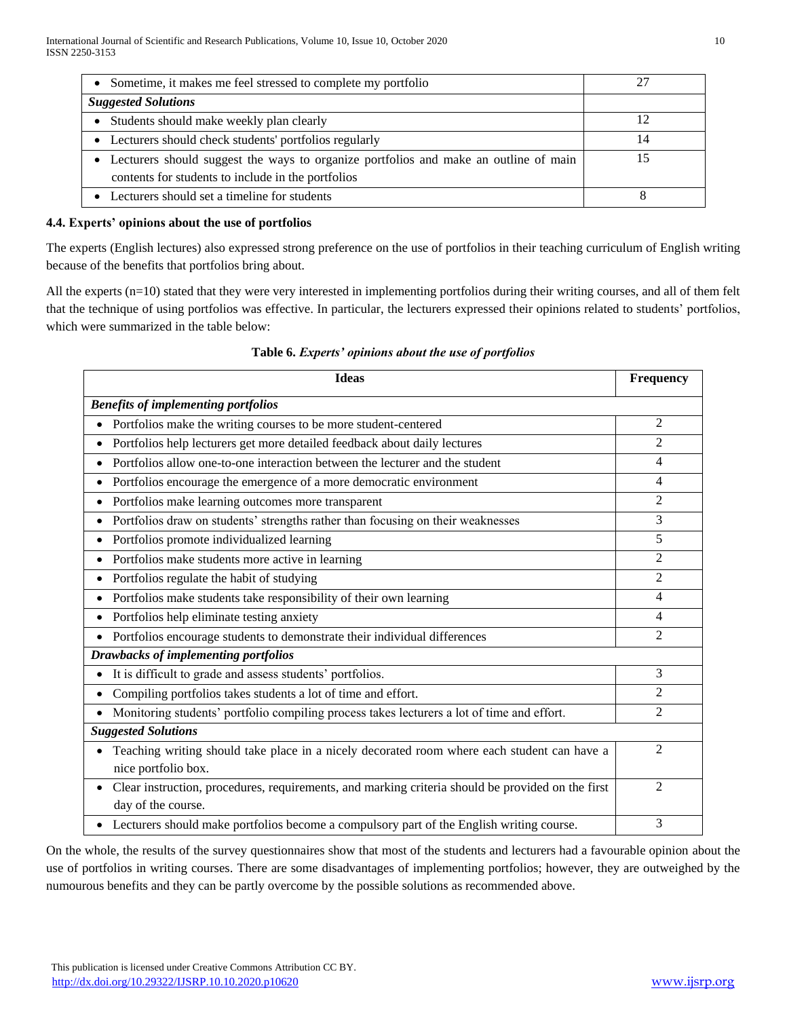| Sometime, it makes me feel stressed to complete my portfolio                                                                               | 27 |
|--------------------------------------------------------------------------------------------------------------------------------------------|----|
| <b>Suggested Solutions</b>                                                                                                                 |    |
| Students should make weekly plan clearly                                                                                                   |    |
| • Lecturers should check students' portfolios regularly                                                                                    | 14 |
| Lecturers should suggest the ways to organize portfolios and make an outline of main<br>contents for students to include in the portfolios |    |
| Lecturers should set a timeline for students                                                                                               |    |

# **4.4. Experts' opinions about the use of portfolios**

The experts (English lectures) also expressed strong preference on the use of portfolios in their teaching curriculum of English writing because of the benefits that portfolios bring about.

All the experts (n=10) stated that they were very interested in implementing portfolios during their writing courses, and all of them felt that the technique of using portfolios was effective. In particular, the lecturers expressed their opinions related to students' portfolios, which were summarized in the table below:

| <b>Ideas</b>                                                                                                            | Frequency                   |
|-------------------------------------------------------------------------------------------------------------------------|-----------------------------|
| <b>Benefits of implementing portfolios</b>                                                                              |                             |
| Portfolios make the writing courses to be more student-centered                                                         | $\overline{2}$              |
| Portfolios help lecturers get more detailed feedback about daily lectures<br>$\bullet$                                  | 2                           |
| Portfolios allow one-to-one interaction between the lecturer and the student<br>$\bullet$                               | 4                           |
| Portfolios encourage the emergence of a more democratic environment<br>$\bullet$                                        | 4                           |
| Portfolios make learning outcomes more transparent<br>$\bullet$                                                         | $\mathfrak{D}$              |
| Portfolios draw on students' strengths rather than focusing on their weaknesses<br>$\bullet$                            | 3                           |
| Portfolios promote individualized learning<br>$\bullet$                                                                 | 5                           |
| Portfolios make students more active in learning<br>$\bullet$                                                           | $\mathfrak{D}$              |
| Portfolios regulate the habit of studying<br>$\bullet$                                                                  | $\overline{2}$              |
| Portfolios make students take responsibility of their own learning<br>$\bullet$                                         | 4                           |
| Portfolios help eliminate testing anxiety                                                                               | 4                           |
| Portfolios encourage students to demonstrate their individual differences<br>$\bullet$                                  | $\mathfrak{D}$              |
| <b>Drawbacks of implementing portfolios</b>                                                                             |                             |
| It is difficult to grade and assess students' portfolios.<br>$\bullet$                                                  | 3                           |
| Compiling portfolios takes students a lot of time and effort.                                                           | 2                           |
| Monitoring students' portfolio compiling process takes lecturers a lot of time and effort.                              | $\overline{2}$              |
| <b>Suggested Solutions</b>                                                                                              |                             |
| Teaching writing should take place in a nicely decorated room where each student can have a<br>nice portfolio box.      | $\mathcal{D}_{\mathcal{L}}$ |
| Clear instruction, procedures, requirements, and marking criteria should be provided on the first<br>day of the course. | 2                           |
| • Lecturers should make portfolios become a compulsory part of the English writing course.                              | 3                           |

### **Table 6.** *Experts' opinions about the use of portfolios*

On the whole, the results of the survey questionnaires show that most of the students and lecturers had a favourable opinion about the use of portfolios in writing courses. There are some disadvantages of implementing portfolios; however, they are outweighed by the numourous benefits and they can be partly overcome by the possible solutions as recommended above.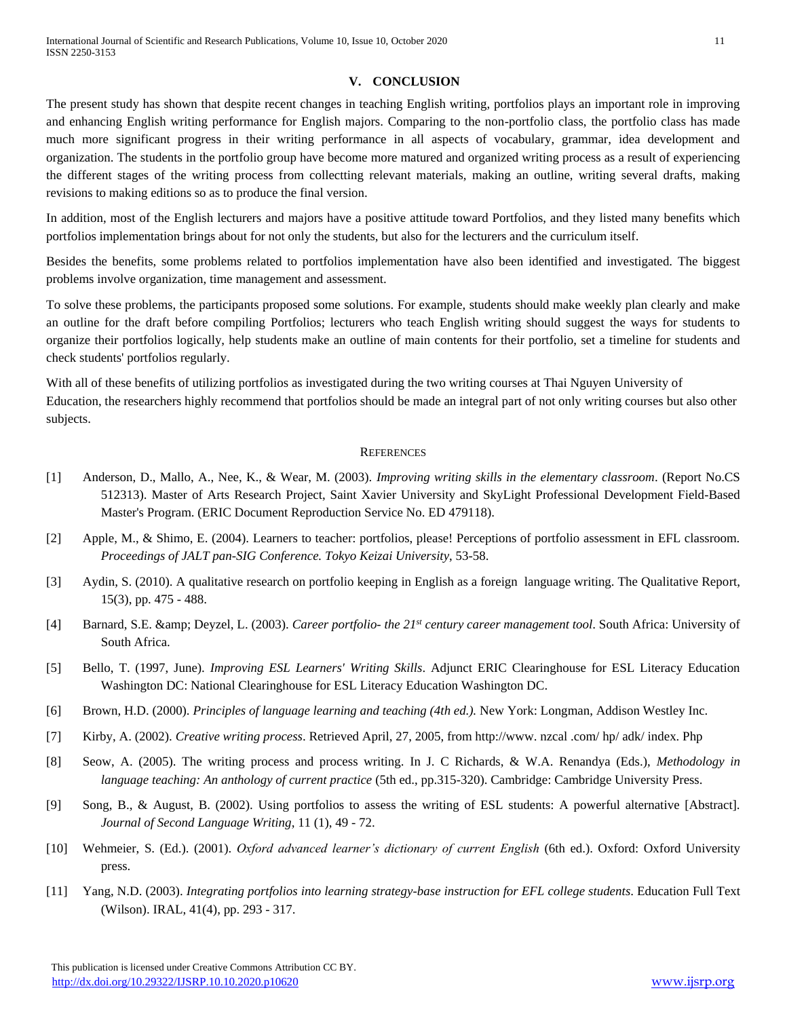#### **V. CONCLUSION**

The present study has shown that despite recent changes in teaching English writing, portfolios plays an important role in improving and enhancing English writing performance for English majors. Comparing to the non-portfolio class, the portfolio class has made much more significant progress in their writing performance in all aspects of vocabulary, grammar, idea development and organization. The students in the portfolio group have become more matured and organized writing process as a result of experiencing the different stages of the writing process from collectting relevant materials, making an outline, writing several drafts, making revisions to making editions so as to produce the final version.

In addition, most of the English lecturers and majors have a positive attitude toward Portfolios, and they listed many benefits which portfolios implementation brings about for not only the students, but also for the lecturers and the curriculum itself.

Besides the benefits, some problems related to portfolios implementation have also been identified and investigated. The biggest problems involve organization, time management and assessment.

To solve these problems, the participants proposed some solutions. For example, students should make weekly plan clearly and make an outline for the draft before compiling Portfolios; lecturers who teach English writing should suggest the ways for students to organize their portfolios logically, help students make an outline of main contents for their portfolio, set a timeline for students and check students' portfolios regularly.

With all of these benefits of utilizing portfolios as investigated during the two writing courses at Thai Nguyen University of Education, the researchers highly recommend that portfolios should be made an integral part of not only writing courses but also other subjects.

#### **REFERENCES**

- [1] Anderson, D., Mallo, A., Nee, K., & Wear, M. (2003). *Improving writing skills in the elementary classroom*. (Report No.CS 512313). Master of Arts Research Project, Saint Xavier University and SkyLight Professional Development Field-Based Master's Program. (ERIC Document Reproduction Service No. ED 479118).
- [2] Apple, M., & Shimo, E. (2004). Learners to teacher: portfolios, please! Perceptions of portfolio assessment in EFL classroom. *Proceedings of JALT pan-SIG Conference. Tokyo Keizai University*, 53-58.
- [3] Aydin, S. (2010). A qualitative research on portfolio keeping in English as a foreign language writing. The Qualitative Report, 15(3), pp. 475 - 488.
- [4] Barnard, S.E. & amp; Deyzel, L. (2003). *Career portfolio- the 21<sup>st</sup>* century career management tool. South Africa: University of South Africa.
- [5] Bello, T. (1997, June). *Improving ESL Learners' Writing Skills*. Adjunct ERIC Clearinghouse for ESL Literacy Education Washington DC: National Clearinghouse for ESL Literacy Education Washington DC.
- [6] Brown, H.D. (2000). *Principles of language learning and teaching (4th ed.).* New York: Longman, Addison Westley Inc.
- [7] Kirby, A. (2002). *Creative writing process*. Retrieved April, 27, 2005, from http://www. nzcal .com/ hp/ adk/ index. Php
- [8] Seow, A. (2005). The writing process and process writing. In J. C Richards, & W.A. Renandya (Eds.), *Methodology in language teaching: An anthology of current practice* (5th ed., pp.315-320). Cambridge: Cambridge University Press.
- [9] Song, B., & August, B. (2002). Using portfolios to assess the writing of ESL students: A powerful alternative [Abstract]. *Journal of Second Language Writing*, 11 (1), 49 - 72.
- [10] Wehmeier, S. (Ed.). (2001). *Oxford advanced learner's dictionary of current English* (6th ed.). Oxford: Oxford University press.
- [11] Yang, N.D. (2003). *Integrating portfolios into learning strategy-base instruction for EFL college students*. Education Full Text (Wilson). IRAL, 41(4), pp. 293 - 317.